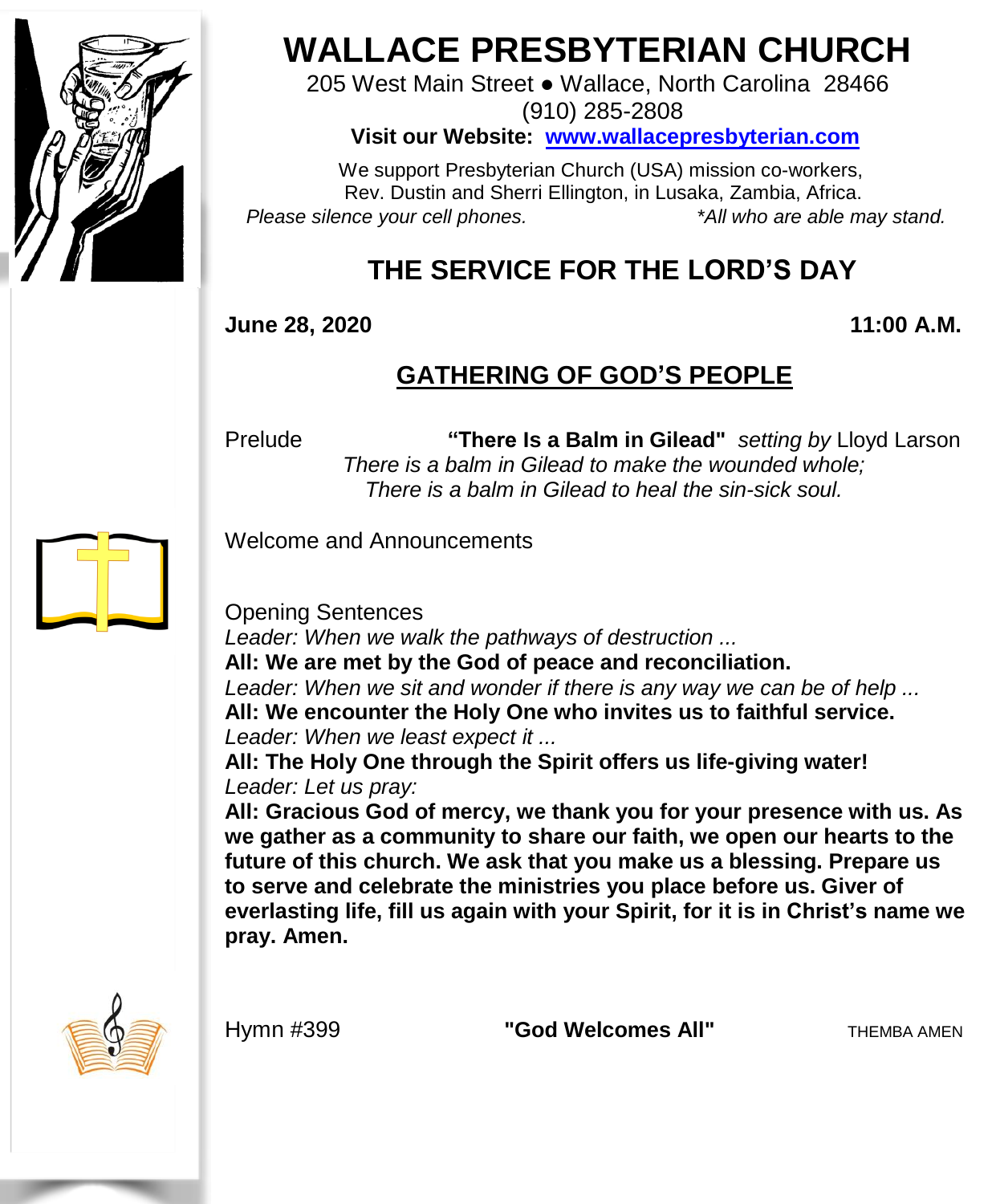

# **WALLACE PRESBYTERIAN CHURCH**

205 West Main Street ● Wallace, North Carolina 28466 (910) 285-2808

**Visit our Website: [www.wallacepresbyterian.com](http://www.wallacepresbyterian.com/)**

 We support Presbyterian Church (USA) mission co-workers, Rev. Dustin and Sherri Ellington, in Lusaka, Zambia, Africa. *Please silence your cell phones. \*All who are able may stand.*

## **THE SERVICE FOR THE LORD'S DAY**

**June 28, 2020 11:00 A.M.**

### **GATHERING OF GOD'S PEOPLE**

Prelude **"There Is a Balm in Gilead"** *setting by* Lloyd Larson  *There is a balm in Gilead to make the wounded whole; There is a balm in Gilead to heal the sin-sick soul.*

Welcome and Announcements

Opening Sentences

*Leader: When we walk the pathways of destruction ...*

**All: We are met by the God of peace and reconciliation.**

*Leader: When we sit and wonder if there is any way we can be of help ...*

**All: We encounter the Holy One who invites us to faithful service.** *Leader: When we least expect it ...*

**All: The Holy One through the Spirit offers us life-giving water!** *Leader: Let us pray:*

**All: Gracious God of mercy, we thank you for your presence with us. As we gather as a community to share our faith, we open our hearts to the future of this church. We ask that you make us a blessing. Prepare us to serve and celebrate the ministries you place before us. Giver of everlasting life, fill us again with your Spirit, for it is in Christ's name we pray. Amen.**



Hymn #399 **"God Welcomes All"** THEMBA AMEN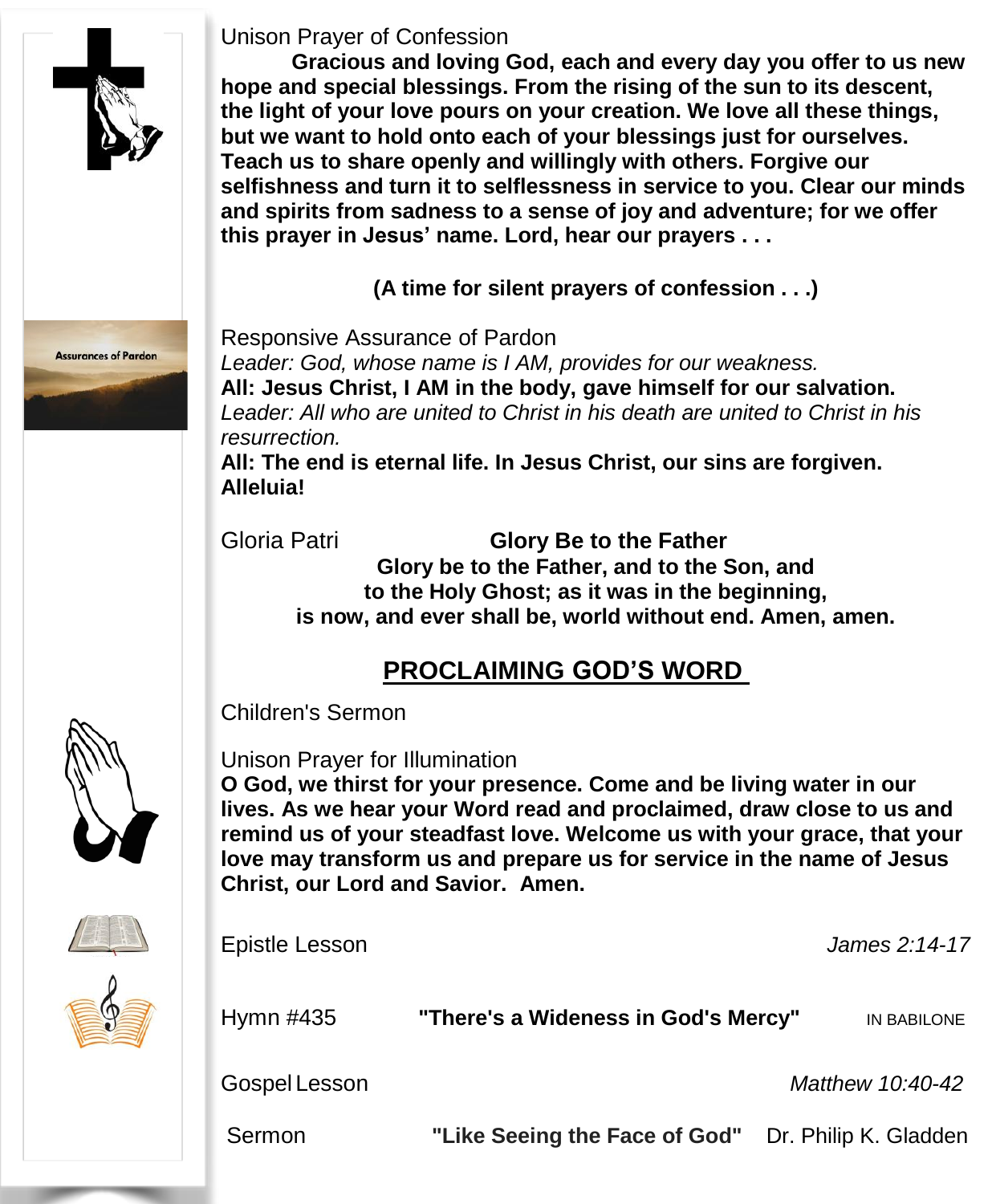

#### Unison Prayer of Confession

**Gracious and loving God, each and every day you offer to us new hope and special blessings. From the rising of the sun to its descent, the light of your love pours on your creation. We love all these things, but we want to hold onto each of your blessings just for ourselves. Teach us to share openly and willingly with others. Forgive our selfishness and turn it to selflessness in service to you. Clear our minds and spirits from sadness to a sense of joy and adventure; for we offer this prayer in Jesus' name. Lord, hear our prayers . . .**

**(A time for silent prayers of confession . . .)**



Responsive Assurance of Pardon

*Leader: God, whose name is I AM, provides for our weakness.* **All: Jesus Christ, I AM in the body, gave himself for our salvation.** *Leader: All who are united to Christ in his death are united to Christ in his resurrection.*

**All: The end is eternal life. In Jesus Christ, our sins are forgiven. Alleluia!**

Gloria Patri **Glory Be to the Father Glory be to the Father, and to the Son, and to the Holy Ghost; as it was in the beginning, is now, and ever shall be, world without end. Amen, amen.**

### **PROCLAIMING GOD'S WORD**

Children's Sermon

Unison Prayer for Illumination

**O God, we thirst for your presence. Come and be living water in our lives. As we hear your Word read and proclaimed, draw close to us and remind us of your steadfast love. Welcome us with your grace, that your love may transform us and prepare us for service in the name of Jesus Christ, our Lord and Savior. Amen.**

| Epistle Lesson |                                     | James 2:14-17         |
|----------------|-------------------------------------|-----------------------|
| Hymn #435      | "There's a Wideness in God's Mercy" | IN BABILONE           |
| Gospel Lesson  |                                     | Matthew 10:40-42      |
| Sermon         | "Like Seeing the Face of God"       | Dr. Philip K. Gladden |





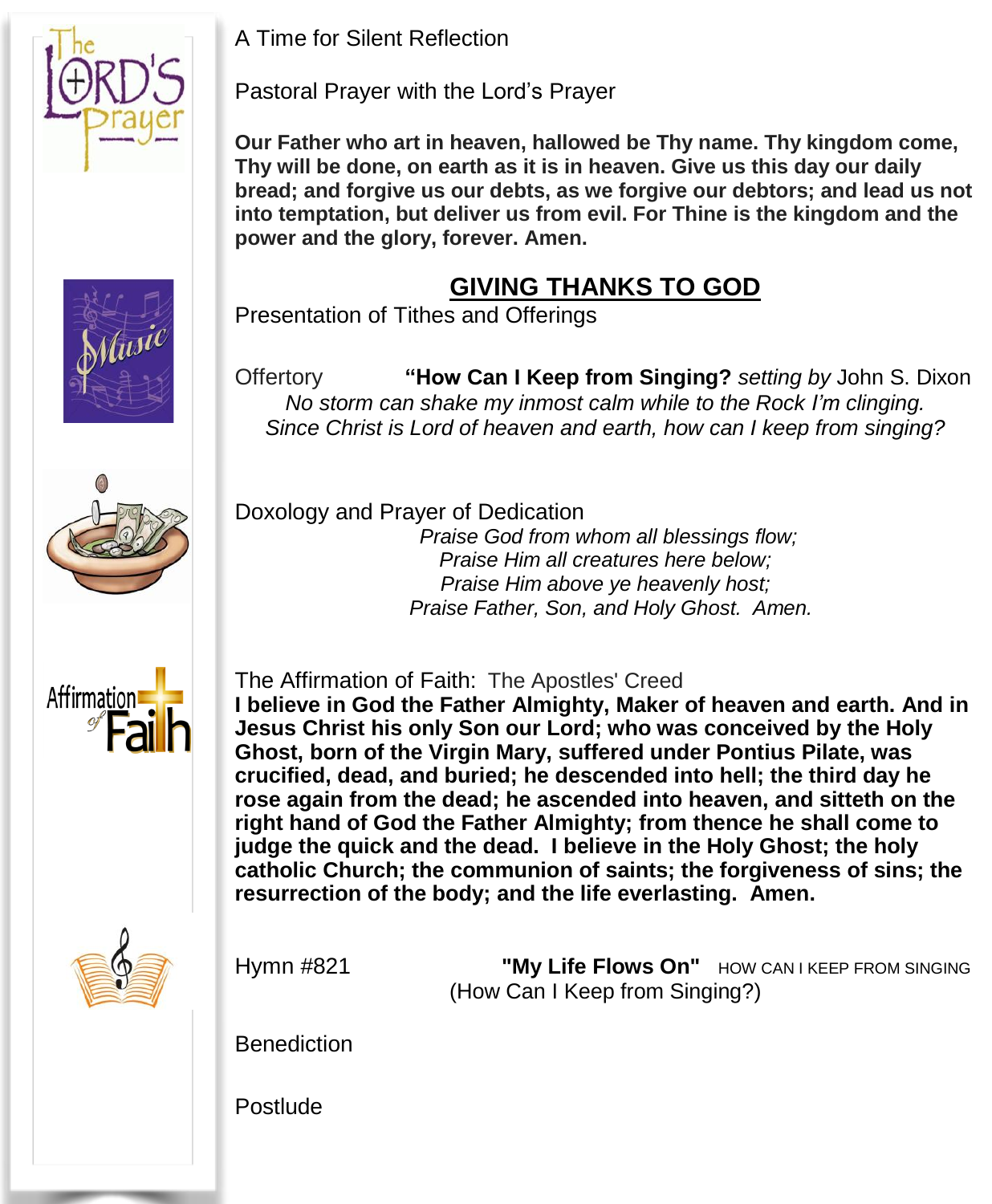

A Time for Silent Reflection

Pastoral Prayer with the Lord's Prayer

**Our Father who art in heaven, hallowed be Thy name. Thy kingdom come, Thy will be done, on earth as it is in heaven. Give us this day our daily bread; and forgive us our debts, as we forgive our debtors; and lead us not into temptation, but deliver us from evil. For Thine is the kingdom and the power and the glory, forever. Amen.**

### **GIVING THANKS TO GOD**

Presentation of Tithes and Offerings

Offertory **"How Can I Keep from Singing?** *setting by* John S. Dixon *No storm can shake my inmost calm while to the Rock I'm clinging. Since Christ is Lord of heaven and earth, how can I keep from singing?*



Doxology and Prayer of Dedication

*Praise God from whom all blessings flow; Praise Him all creatures here below; Praise Him above ye heavenly host; Praise Father, Son, and Holy Ghost. Amen.*



The Affirmation of Faith: The Apostles' Creed **I believe in God the Father Almighty, Maker of heaven and earth. And in Jesus Christ his only Son our Lord; who was conceived by the Holy Ghost, born of the Virgin Mary, suffered under Pontius Pilate, was crucified, dead, and buried; he descended into hell; the third day he rose again from the dead; he ascended into heaven, and sitteth on the right hand of God the Father Almighty; from thence he shall come to judge the quick and the dead. I believe in the Holy Ghost; the holy catholic Church; the communion of saints; the forgiveness of sins; the resurrection of the body; and the life everlasting. Amen.**



Hymn #821 **"My Life Flows On"** HOW CAN <sup>I</sup> KEEP FROM SINGING (How Can I Keep from Singing?)

**Benediction** 

Postlude